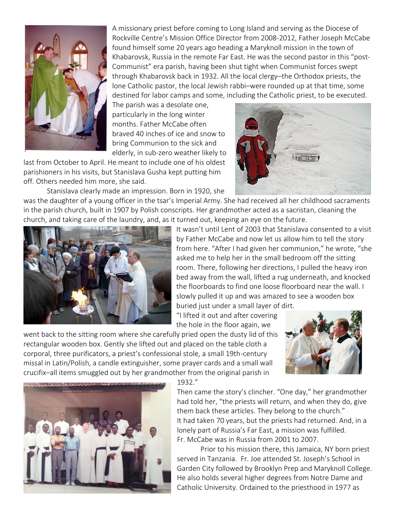

A missionary priest before coming to Long Island and serving as the Diocese of Rockville Centre's Mission Office Director from 2008-2012, Father Joseph McCabe found himself some 20 years ago heading a Maryknoll mission in the town of Khabarovsk, Russia in the remote Far East. He was the second pastor in this "post-Communist" era parish, having been shut tight when Communist forces swept through Khabarovsk back in 1932. All the local clergy–the Orthodox priests, the lone Catholic pastor, the local Jewish rabbi–were rounded up at that time, some destined for labor camps and some, including the Catholic priest, to be executed.

The parish was a desolate one, particularly in the long winter months. Father McCabe often braved 40 inches of ice and snow to bring Communion to the sick and elderly, in sub-zero weather likely to

last from October to April. He meant to include one of his oldest parishioners in his visits, but Stanislava Gusha kept putting him off. Others needed him more, she said.

Stanislava clearly made an impression. Born in 1920, she

was the daughter of a young officer in the tsar's Imperial Army. She had received all her childhood sacraments in the parish church, built in 1907 by Polish conscripts. Her grandmother acted as a sacristan, cleaning the church, and taking care of the laundry, and, as it turned out, keeping an eye on the future.



It wasn't until Lent of 2003 that Stanislava consented to a visit by Father McCabe and now let us allow him to tell the story from here. "After I had given her communion," he wrote, "she asked me to help her in the small bedroom off the sitting room. There, following her directions, I pulled the heavy iron bed away from the wall, lifted a rug underneath, and knocked the floorboards to find one loose floorboard near the wall. I slowly pulled it up and was amazed to see a wooden box buried just under a small layer of dirt.

"I lifted it out and after covering the hole in the floor again, we

went back to the sitting room where she carefully pried open the dusty lid of this rectangular wooden box. Gently she lifted out and placed on the table cloth a corporal, three purificators, a priest's confessional stole, a small 19th-century missal in Latin/Polish, a candle extinguisher, some prayer cards and a small wall crucifix–all items smuggled out by her grandmother from the original parish in





1932."

Then came the story's clincher. "One day," her grandmother had told her, "the priests will return, and when they do, give them back these articles. They belong to the church." It had taken 70 years, but the priests had returned. And, in a lonely part of Russia's Far East, a mission was fulfilled. Fr. McCabe was in Russia from 2001 to 2007.

Prior to his mission there, this Jamaica, NY born priest served in Tanzania. Fr. Joe attended St. Joseph's School in Garden City followed by Brooklyn Prep and Maryknoll College. He also holds several higher degrees from Notre Dame and Catholic University. Ordained to the priesthood in 1977 as